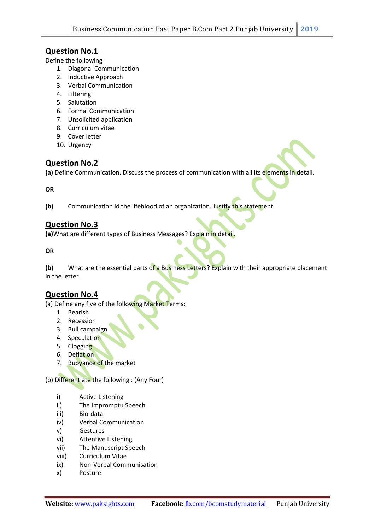## Question No.1

Define the following

- 1. Diagonal Communication
- 2. Inductive Approach
- 3. Verbal Communication
- 4. Filtering
- 5. Salutation
- 6. Formal Communication
- 7. Unsolicited application
- 8. Curriculum vitae
- 9. Cover letter
- 10. Urgency

# Question No.2

(a) Define Communication. Discuss the process of communication with all its elements in detail.

#### **OR**

(b) Communication id the lifeblood of an organization. Justify this statement

### Question No.3

(a)What are different types of Business Messages? Explain in detail.

OR

(b) What are the essential parts of a Business Letters? Explain with their appropriate placement in the letter.

### Question No.4

(a) Define any five of the following Market Terms:

- 1. Bearish
- 2. Recession
- 3. Bull campaign
- 4. Speculation
- 5. Clogging
- 6. Deflation
- 7. Buoyance of the market

(b) Differentiate the following : (Any Four)

- i) Active Listening
- ii) The Impromptu Speech
- iii) Bio-data
- iv) Verbal Communication
- v) Gestures
- vi) Attentive Listening
- vii) The Manuscript Speech
- viii) Curriculum Vitae
- ix) Non-Verbal Communisation
- x) Posture